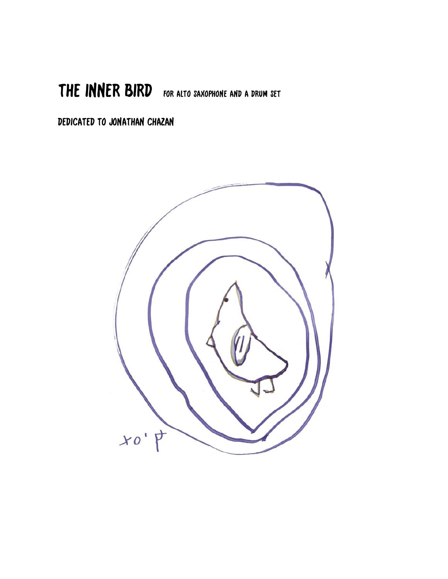## THE INNER BIRD FOR ALTO SAXOPHONE AND A DRUM SET

## DEDICATED TO JONATHAN CHAZAN

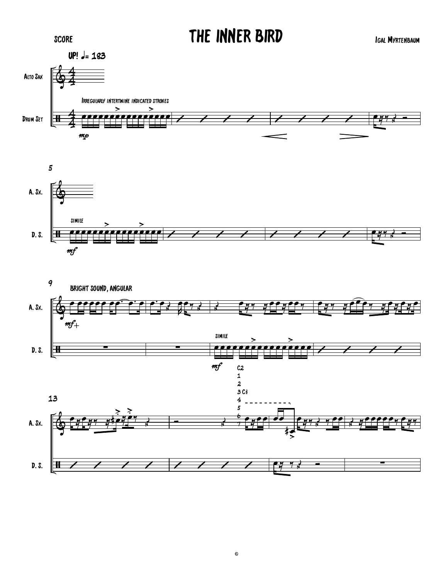

THE INNER BIRD IGAL MYRTENBAUM





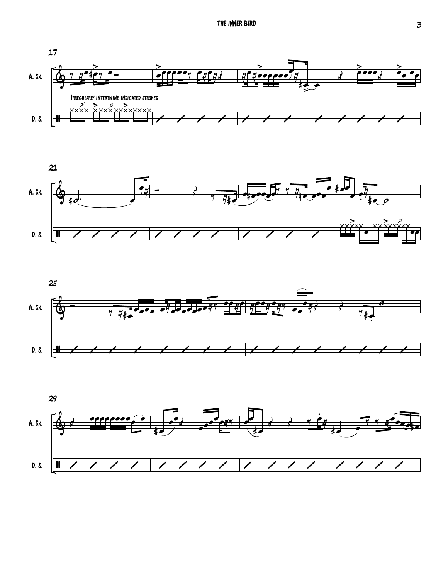





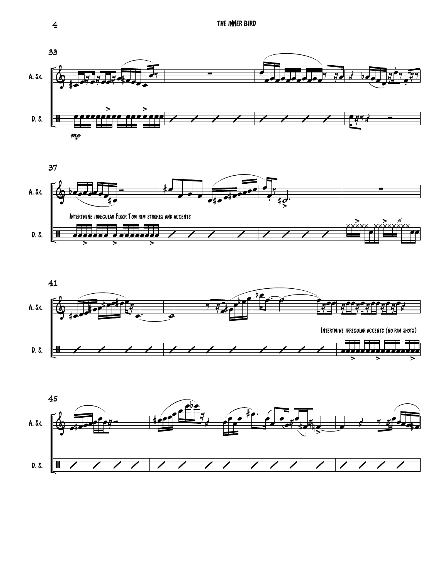





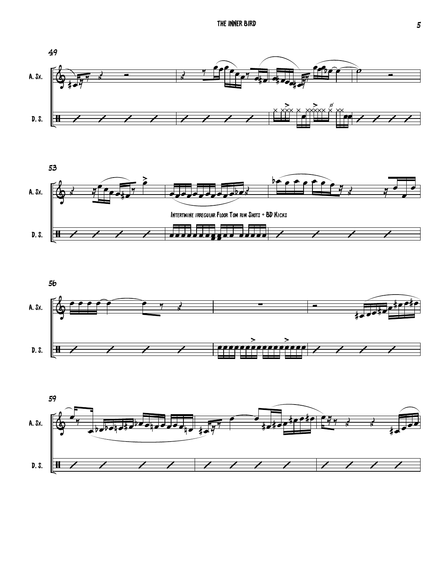





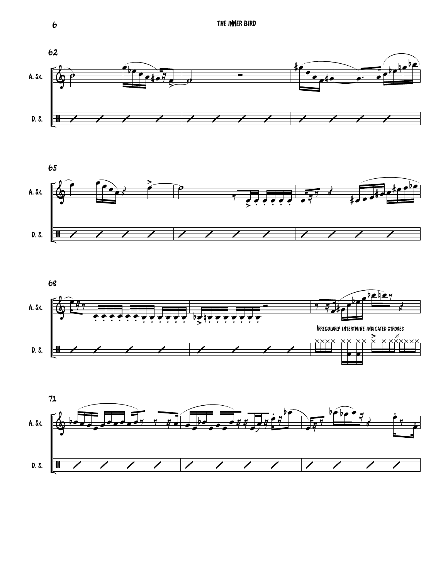





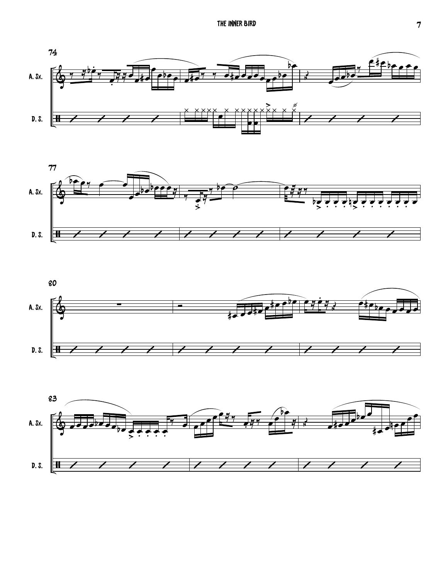





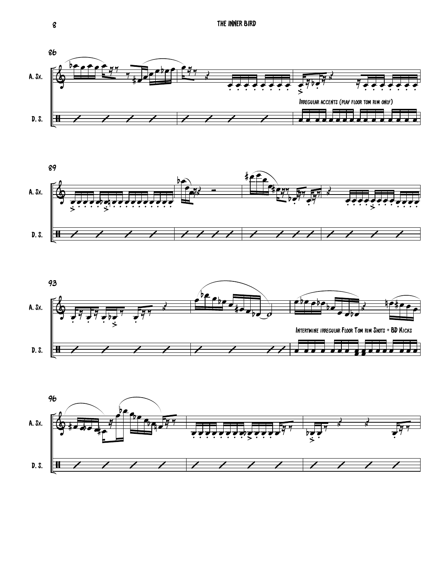





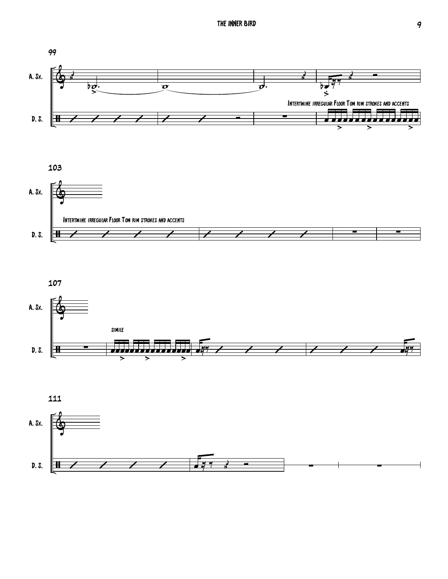







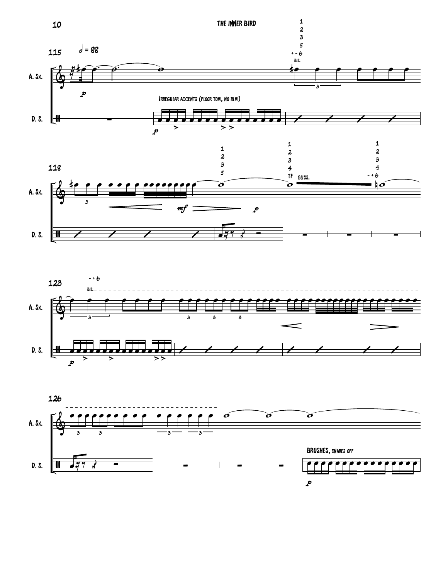



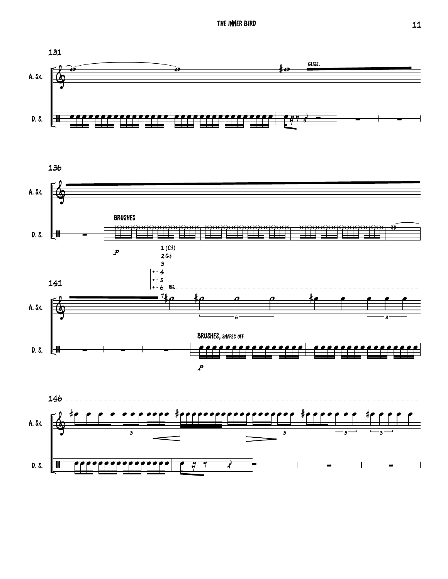



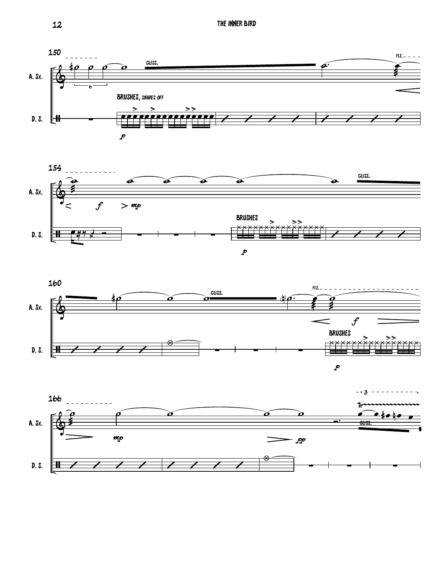





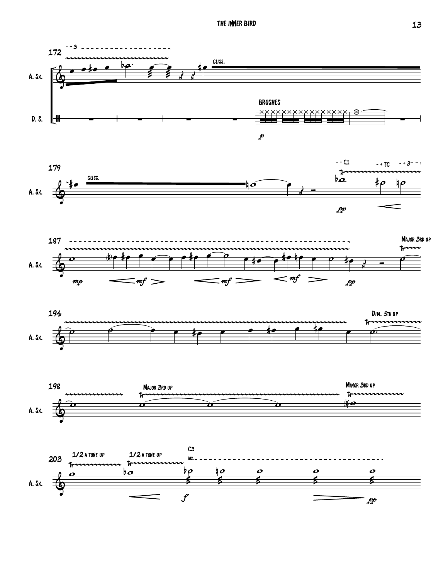

pp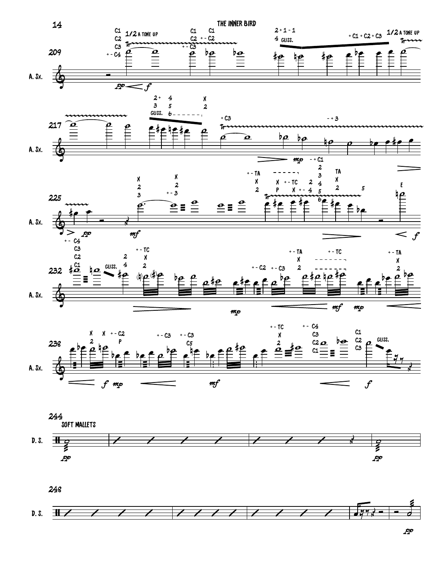





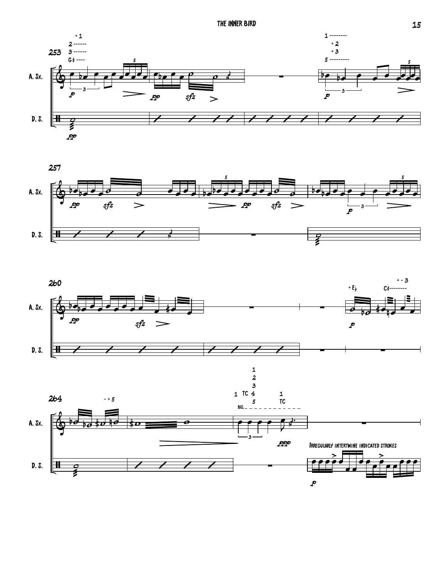



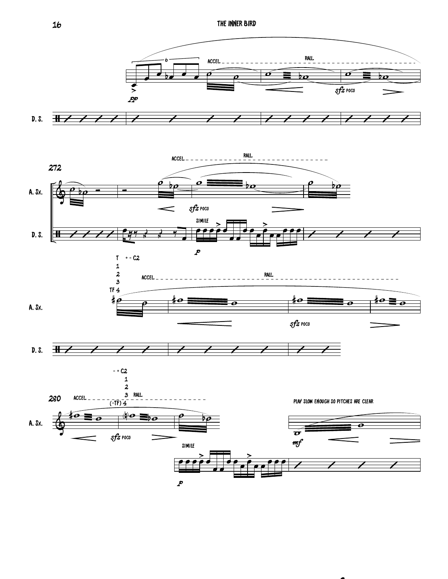

 $\overline{a}$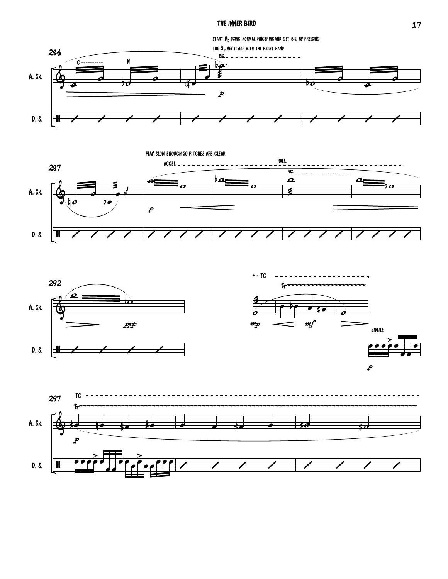## THE INNER BIRD 27







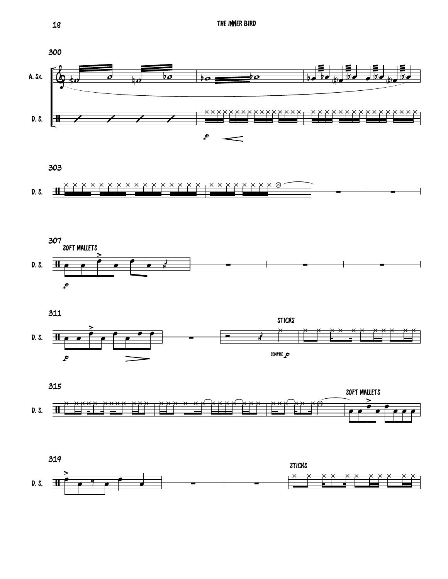









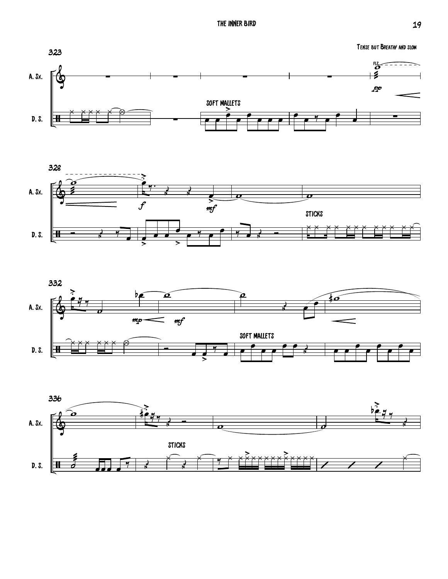





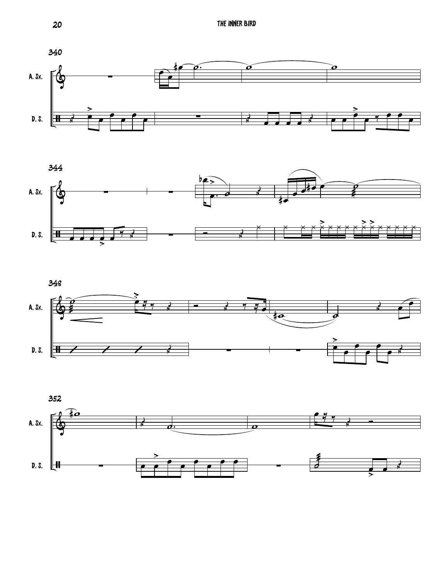





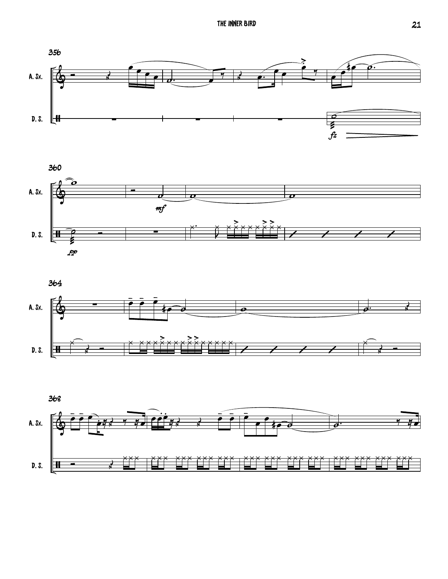





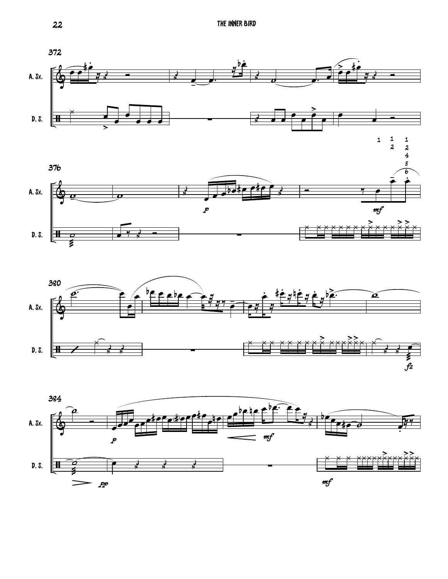





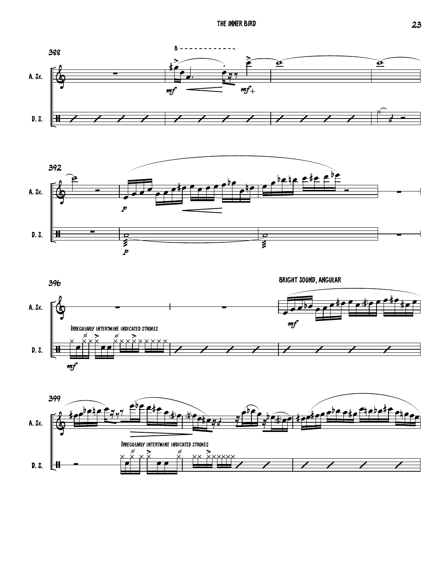





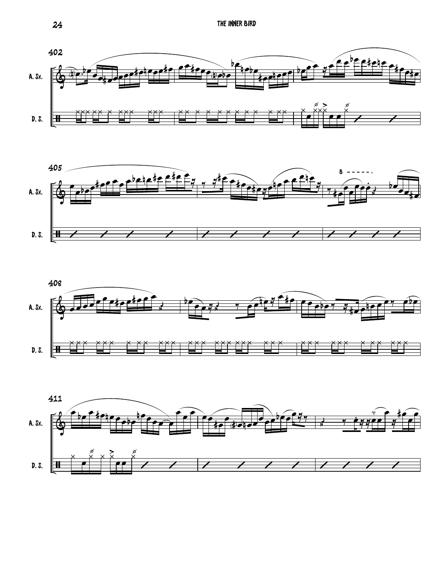





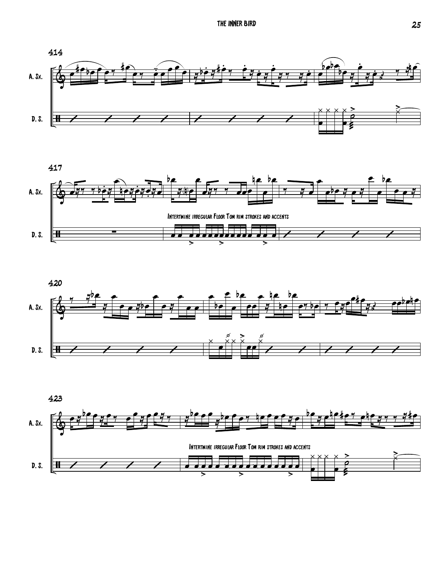





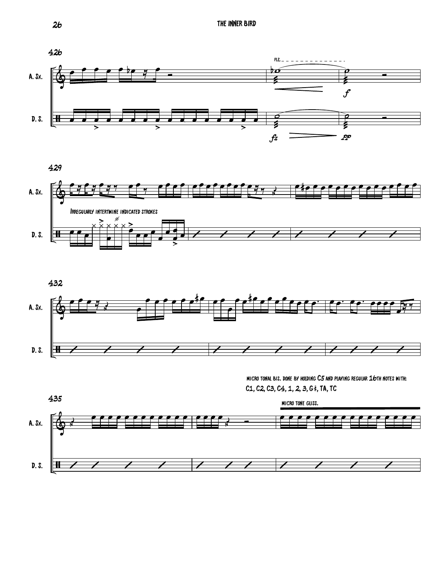





micro tonal bis. done by holding C5 and playing regular 16th notes with: C1, C2, C3, C4, 1, 2, 3, G#, TA, TC